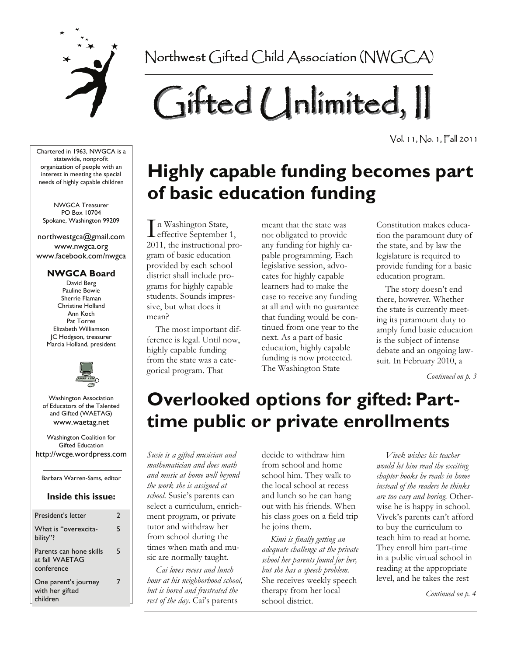

Northwest Gifted Child Association (NWGCA)

# Gifted Unlimited, II

Vol. 11, No. 1, Fall 2011

Chartered in 1963, NWGCA is a statewide, nonprofit organization of people with an interest in meeting the special needs of highly capable children

NWGCA Treasurer PO Box 10704 Spokane, Washington 99209

northwestgca@gmail.com www.nwgca.org www.facebook.com/nwgca

### **NWGCA Board**

David Berg Pauline Bowie Sherrie Flaman Christine Holland Ann Koch Pat Torres Elizabeth Williamson JC Hodgson, treasurer Marcia Holland, president



Washington Association of Educators of the Talented and Gifted (WAETAG) www.waetag.net

Washington Coalition for Gifted Education http://wcge.wordpress.com

Barbara Warren-Sams, editor

### **Inside this issue:**

| President's letter                                      | 2 |
|---------------------------------------------------------|---|
| What is "overexcita-<br>bility"?                        | 5 |
| Parents can hone skills<br>at fall WAETAG<br>conference | 5 |
| One parent's journey<br>with her gifted<br>children     | 7 |

## **Highly capable funding becomes part of basic education funding**

I n Washington State,  $\blacktriangle$  effective September 1, 2011, the instructional program of basic education provided by each school district shall include programs for highly capable students. Sounds impressive, but what does it mean?

 The most important difference is legal. Until now, highly capable funding from the state was a categorical program. That

meant that the state was not obligated to provide any funding for highly capable programming. Each legislative session, advocates for highly capable learners had to make the case to receive any funding at all and with no guarantee that funding would be continued from one year to the next. As a part of basic education, highly capable funding is now protected. The Washington State

Constitution makes education the paramount duty of the state, and by law the legislature is required to provide funding for a basic education program.

 The story doesn't end there, however. Whether the state is currently meeting its paramount duty to amply fund basic education is the subject of intense debate and an ongoing lawsuit. In February 2010, a

*Continued on p. 3* 

## **Overlooked options for gifted: Parttime public or private enrollments**

*Susie is a gifted musician and mathematician and does math and music at home well beyond the work she is assigned at school.* Susie's parents can select a curriculum, enrichment program, or private tutor and withdraw her from school during the times when math and music are normally taught.

*Cai loves recess and lunch hour at his neighborhood school, but is bored and frustrated the rest of the day.* Cai's parents

decide to withdraw him from school and home school him. They walk to the local school at recess and lunch so he can hang out with his friends. When his class goes on a field trip he joins them.

*Kimi is finally getting an adequate challenge at the private school her parents found for her, but she has a speech problem.*  She receives weekly speech therapy from her local school district.

*Vivek wishes his teacher would let him read the exciting chapter books he reads in home instead of the readers he thinks are too easy and boring.* Otherwise he is happy in school. Vivek's parents can't afford to buy the curriculum to teach him to read at home. They enroll him part-time in a public virtual school in reading at the appropriate level, and he takes the rest

*Continued on p. 4*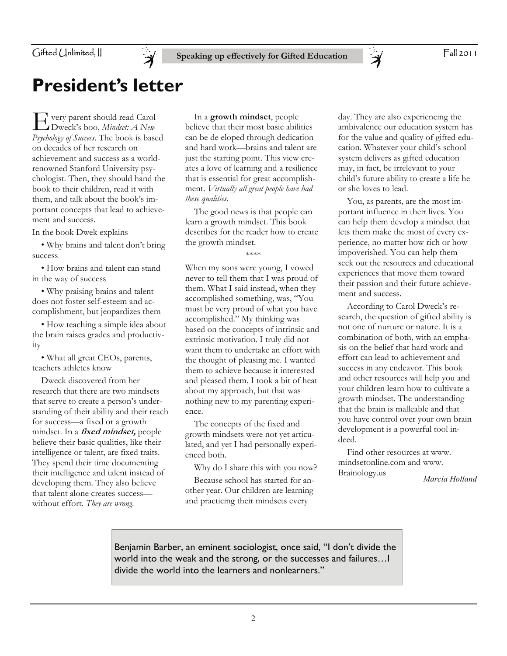

## **President's letter**

E very parent should read Carol Dweck's boo, *Mindset: A New Psychology of Success*. The book is based on decades of her research on achievement and success as a worldrenowned Stanford University psychologist. Then, they should hand the book to their children, read it with them, and talk about the book's important concepts that lead to achievement and success.

In the book Dwek explains

 • Why brains and talent don't bring success

 • How brains and talent can stand in the way of success

 • Why praising brains and talent does not foster self-esteem and accomplishment, but jeopardizes them

 • How teaching a simple idea about the brain raises grades and productivity

 • What all great CEOs, parents, teachers athletes know

 Dweck discovered from her research that there are two mindsets that serve to create a person's understanding of their ability and their reach for success—a fixed or a growth mindset. In a **fixed mindset,** people believe their basic qualities, like their intelligence or talent, are fixed traits. They spend their time documenting their intelligence and talent instead of developing them. They also believe that talent alone creates success without effort. *They are wrong*.

 In a **growth mindset**, people believe that their most basic abilities can be de eloped through dedication and hard work—brains and talent are just the starting point. This view creates a love of learning and a resilience that is essential for great accomplishment. *Virtually all great people have had these qualities*.

 The good news is that people can learn a growth mindset. This book describes for the reader how to create the growth mindset.

\*\*\*\*

When my sons were young, I vowed never to tell them that I was proud of them. What I said instead, when they accomplished something, was, "You must be very proud of what you have accomplished." My thinking was based on the concepts of intrinsic and extrinsic motivation. I truly did not want them to undertake an effort with the thought of pleasing me. I wanted them to achieve because it interested and pleased them. I took a bit of heat about my approach, but that was nothing new to my parenting experience.

 The concepts of the fixed and growth mindsets were not yet articulated, and yet I had personally experienced both.

Why do I share this with you now?

 Because school has started for another year. Our children are learning and practicing their mindsets every

day. They are also experiencing the ambivalence our education system has for the value and quality of gifted education. Whatever your child's school system delivers as gifted education may, in fact, be irrelevant to your child's future ability to create a life he or she loves to lead.

 $\mathcal{\breve{\mathcal{A}}}$ 

 You, as parents, are the most important influence in their lives. You can help them develop a mindset that lets them make the most of every experience, no matter how rich or how impoverished. You can help them seek out the resources and educational experiences that move them toward their passion and their future achievement and success.

 According to Carol Dweck's research, the question of gifted ability is not one of nurture or nature. It is a combination of both, with an emphasis on the belief that hard work and effort can lead to achievement and success in any endeavor. This book and other resources will help you and your children learn how to cultivate a growth mindset. The understanding that the brain is malleable and that you have control over your own brain development is a powerful tool indeed.

 Find other resources at www. mindsetonline.com and www. Brainology.us

*Marcia Holland*

Benjamin Barber, an eminent sociologist, once said, "I don't divide the world into the weak and the strong, or the successes and failures…I divide the world into the learners and nonlearners."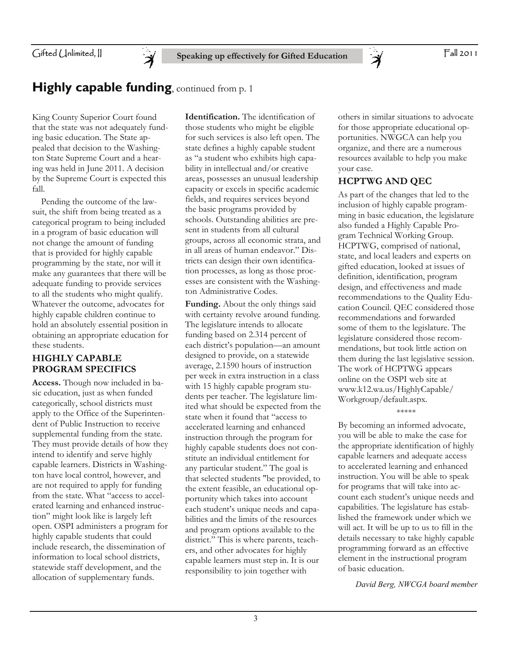Fall 2011

Gifted Unlimited, II

## **Highly capable funding**, continued from p. 1

Ă

King County Superior Court found that the state was not adequately funding basic education. The State appealed that decision to the Washington State Supreme Court and a hearing was held in June 2011. A decision by the Supreme Court is expected this fall.

 Pending the outcome of the lawsuit, the shift from being treated as a categorical program to being included in a program of basic education will not change the amount of funding that is provided for highly capable programming by the state, nor will it make any guarantees that there will be adequate funding to provide services to all the students who might qualify. Whatever the outcome, advocates for highly capable children continue to hold an absolutely essential position in obtaining an appropriate education for these students.

## **HIGHLY CAPABLE PROGRAM SPECIFICS**

**Access.** Though now included in basic education, just as when funded categorically, school districts must apply to the Office of the Superintendent of Public Instruction to receive supplemental funding from the state. They must provide details of how they intend to identify and serve highly capable learners. Districts in Washington have local control, however, and are not required to apply for funding from the state. What "access to accelerated learning and enhanced instruction" might look like is largely left open. OSPI administers a program for highly capable students that could include research, the dissemination of information to local school districts, statewide staff development, and the allocation of supplementary funds.

**Identification.** The identification of those students who might be eligible for such services is also left open. The state defines a highly capable student as "a student who exhibits high capability in intellectual and/or creative areas, possesses an unusual leadership capacity or excels in specific academic fields, and requires services beyond the basic programs provided by schools. Outstanding abilities are present in students from all cultural groups, across all economic strata, and in all areas of human endeavor." Districts can design their own identification processes, as long as those processes are consistent with the Washington Administrative Codes.

**Funding.** About the only things said with certainty revolve around funding. The legislature intends to allocate funding based on 2.314 percent of each district's population—an amount designed to provide, on a statewide average, 2.1590 hours of instruction per week in extra instruction in a class with 15 highly capable program students per teacher. The legislature limited what should be expected from the state when it found that "access to accelerated learning and enhanced instruction through the program for highly capable students does not constitute an individual entitlement for any particular student." The goal is that selected students "be provided, to the extent feasible, an educational opportunity which takes into account each student's unique needs and capabilities and the limits of the resources and program options available to the district." This is where parents, teachers, and other advocates for highly capable learners must step in. It is our responsibility to join together with

others in similar situations to advocate for those appropriate educational opportunities. NWGCA can help you organize, and there are a numerous resources available to help you make your case.

### **HCPTWG AND QEC**

 $\mathcal{\breve{\mathcal{A}}}$ 

As part of the changes that led to the inclusion of highly capable programming in basic education, the legislature also funded a Highly Capable Program Technical Working Group. HCPTWG, comprised of national, state, and local leaders and experts on gifted education, looked at issues of definition, identification, program design, and effectiveness and made recommendations to the Quality Education Council. QEC considered those recommendations and forwarded some of them to the legislature. The legislature considered those recommendations, but took little action on them during the last legislative session. The work of HCPTWG appears online on the OSPI web site at www.k12.wa.us/HighlyCapable/ Workgroup/default.aspx.

\*\*\*\*\*

By becoming an informed advocate, you will be able to make the case for the appropriate identification of highly capable learners and adequate access to accelerated learning and enhanced instruction. You will be able to speak for programs that will take into account each student's unique needs and capabilities. The legislature has established the framework under which we will act. It will be up to us to fill in the details necessary to take highly capable programming forward as an effective element in the instructional program of basic education.

*David Berg, NWCGA board member*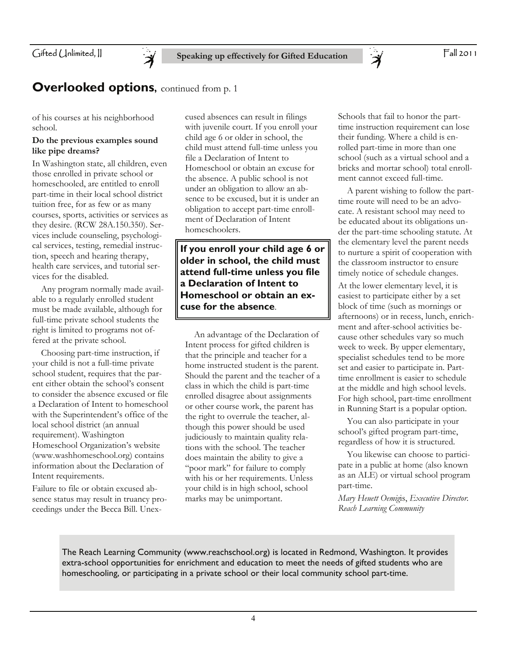## **Overlooked options, continued from p. 1**

of his courses at his neighborhood school.

### **Do the previous examples sound like pipe dreams?**

In Washington state, all children, even those enrolled in private school or homeschooled, are entitled to enroll part-time in their local school district tuition free, for as few or as many courses, sports, activities or services as they desire. (RCW 28A.150.350). Services include counseling, psychological services, testing, remedial instruction, speech and hearing therapy, health care services, and tutorial services for the disabled.

 Any program normally made available to a regularly enrolled student must be made available, although for full-time private school students the right is limited to programs not offered at the private school.

 Choosing part-time instruction, if your child is not a full-time private school student, requires that the parent either obtain the school's consent to consider the absence excused or file a Declaration of Intent to homeschool with the Superintendent's office of the local school district (an annual requirement). Washington Homeschool Organization's website (www.washhomeschool.org) contains information about the Declaration of Intent requirements.

Failure to file or obtain excused absence status may result in truancy proceedings under the Becca Bill. Unexcused absences can result in filings with juvenile court. If you enroll your child age 6 or older in school, the child must attend full-time unless you file a Declaration of Intent to Homeschool or obtain an excuse for the absence. A public school is not under an obligation to allow an absence to be excused, but it is under an obligation to accept part-time enrollment of Declaration of Intent homeschoolers.

**If you enroll your child age 6 or older in school, the child must attend full-time unless you file a Declaration of Intent to Homeschool or obtain an excuse for the absence**.

 An advantage of the Declaration of Intent process for gifted children is that the principle and teacher for a home instructed student is the parent. Should the parent and the teacher of a class in which the child is part-time enrolled disagree about assignments or other course work, the parent has the right to overrule the teacher, although this power should be used judiciously to maintain quality relations with the school. The teacher does maintain the ability to give a "poor mark" for failure to comply with his or her requirements. Unless your child is in high school, school marks may be unimportant.

Schools that fail to honor the parttime instruction requirement can lose their funding. Where a child is enrolled part-time in more than one school (such as a virtual school and a bricks and mortar school) total enrollment cannot exceed full-time.

 $\breve{\mathcal{A}}$ 

 A parent wishing to follow the parttime route will need to be an advocate. A resistant school may need to be educated about its obligations under the part-time schooling statute. At the elementary level the parent needs to nurture a spirit of cooperation with the classroom instructor to ensure timely notice of schedule changes.

At the lower elementary level, it is easiest to participate either by a set block of time (such as mornings or afternoons) or in recess, lunch, enrichment and after-school activities because other schedules vary so much week to week. By upper elementary, specialist schedules tend to be more set and easier to participate in. Parttime enrollment is easier to schedule at the middle and high school levels. For high school, part-time enrollment in Running Start is a popular option.

 You can also participate in your school's gifted program part-time, regardless of how it is structured.

 You likewise can choose to participate in a public at home (also known as an ALE) or virtual school program part-time.

*Mary Heuett Oemig*is, *Executive Director. Reach Learning Community* 

The Reach Learning Community (www.reachschool.org) is located in Redmond, Washington. It provides extra-school opportunities for enrichment and education to meet the needs of gifted students who are homeschooling, or participating in a private school or their local community school part-time.

4

Fall 2011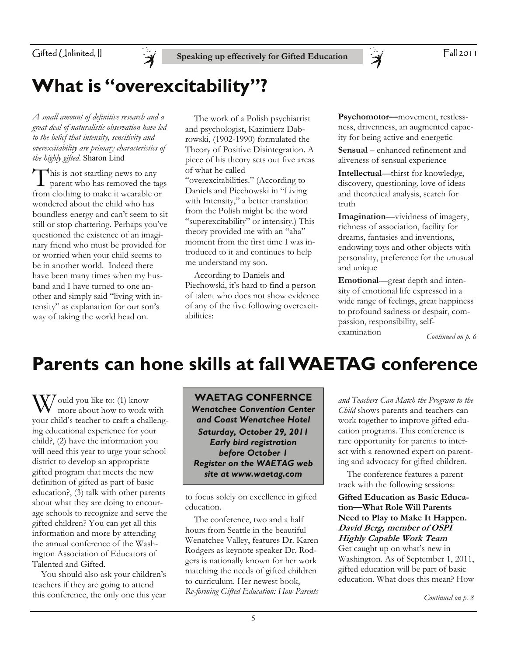

## **What is "overexcitability"?**

*A small amount of definitive research and a great deal of naturalistic observation have led to the belief that intensity, sensitivity and overexcitability are primary characteristics of the highly gifted*. Sharon Lind

This is not startling news to any parent who has removed the tags from clothing to make it wearable or wondered about the child who has boundless energy and can't seem to sit still or stop chattering. Perhaps you've questioned the existence of an imaginary friend who must be provided for or worried when your child seems to be in another world. Indeed there have been many times when my husband and I have turned to one another and simply said "living with intensity" as explanation for our son's way of taking the world head on.

 The work of a Polish psychiatrist and psychologist, Kazimierz Dabrowski, (1902-1990) formulated the Theory of Positive Disintegration. A piece of his theory sets out five areas of what he called

"overexcitabilities." (According to Daniels and Piechowski in "Living with Intensity," a better translation from the Polish might be the word "superexcitability" or intensity.) This theory provided me with an "aha" moment from the first time I was introduced to it and continues to help me understand my son.

 According to Daniels and Piechowski, it's hard to find a person of talent who does not show evidence of any of the five following overexcitabilities:

**Psychomotor—**movement, restlessness, drivenness, an augmented capacity for being active and energetic

**Sensual** – enhanced refinement and aliveness of sensual experience

**Intellectual**—thirst for knowledge, discovery, questioning, love of ideas and theoretical analysis, search for truth

**Imagination**—vividness of imagery, richness of association, facility for dreams, fantasies and inventions, endowing toys and other objects with personality, preference for the unusual and unique

**Emotional**—great depth and intensity of emotional life expressed in a wide range of feelings, great happiness to profound sadness or despair, compassion, responsibility, selfexamination

*Continued on p. 6* 

## **Parents can hone skills at fall WAETAG conference**

 $\frac{1}{\sqrt{2}}$  ould you like to: (1) know more about how to work with your child's teacher to craft a challenging educational experience for your child?, (2) have the information you will need this year to urge your school district to develop an appropriate gifted program that meets the new definition of gifted as part of basic education?, (3) talk with other parents about what they are doing to encourage schools to recognize and serve the gifted children? You can get all this information and more by attending the annual conference of the Washington Association of Educators of Talented and Gifted.

 You should also ask your children's teachers if they are going to attend this conference, the only one this year

**WAETAG CONFERNCE**  *Wenatchee Convention Center and Coast Wenatchee Hotel Saturday, October 29, 2011 Early bird registration before October 1 Register on the WAETAG web site at www.waetag.com* 

to focus solely on excellence in gifted education.

 The conference, two and a half hours from Seattle in the beautiful Wenatchee Valley, features Dr. Karen Rodgers as keynote speaker Dr. Rodgers is nationally known for her work matching the needs of gifted children to curriculum. Her newest book, *Re-forming Gifted Education: How Parents*  *and Teachers Can Match the Program to the Child* shows parents and teachers can work together to improve gifted education programs. This conference is rare opportunity for parents to interact with a renowned expert on parenting and advocacy for gifted children.

 The conference features a parent track with the following sessions:

**Gifted Education as Basic Education—What Role Will Parents Need to Play to Make It Happen. David Berg, member of OSPI Highly Capable Work Team** 

Get caught up on what's new in Washington. As of September 1, 2011, gifted education will be part of basic education. What does this mean? How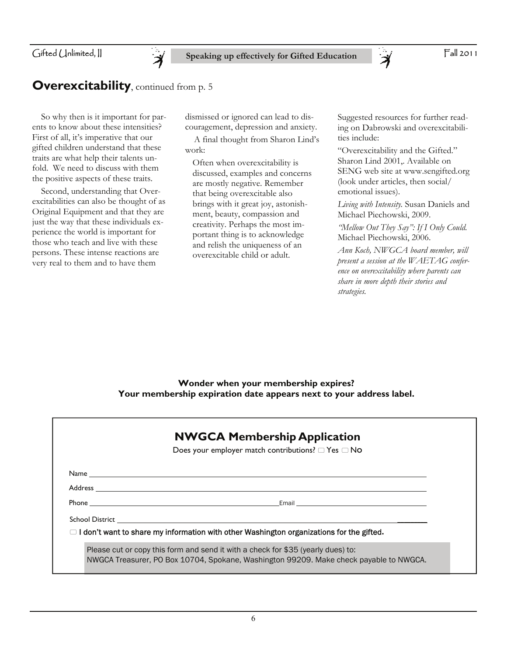## **Overexcitability**, continued from p. 5

 $\overline{\cancel{z}}$ 

 So why then is it important for parents to know about these intensities? First of all, it's imperative that our gifted children understand that these traits are what help their talents unfold. We need to discuss with them the positive aspects of these traits.

 Second, understanding that Overexcitabilities can also be thought of as Original Equipment and that they are just the way that these individuals experience the world is important for those who teach and live with these persons. These intense reactions are very real to them and to have them

dismissed or ignored can lead to discouragement, depression and anxiety.

 A final thought from Sharon Lind's work:

Often when overexcitability is discussed, examples and concerns are mostly negative. Remember that being overexcitable also brings with it great joy, astonishment, beauty, compassion and creativity. Perhaps the most important thing is to acknowledge and relish the uniqueness of an overexcitable child or adult.

Suggested resources for further reading on Dabrowski and overexcitabilities include:

 $\ddot{\bm{\lambda}}$ 

"Overexcitability and the Gifted." Sharon Lind 2001,. Available on SENG web site at www.sengifted.org (look under articles, then social/ emotional issues).

*Living with Intensity.* Susan Daniels and Michael Piechowski, 2009.

*"Mellow Out They Say": If I Only Could.*  Michael Piechowski, 2006.

*Ann Koch, NWGCA board member, will present a session at the WAETAG conference on overexcitability where parents can share in more depth their stories and strategies.* 

**Wonder when your membership expires? Your membership expiration date appears next to your address label.** 

| <b>NWGCA Membership Application</b>                                                                                  |
|----------------------------------------------------------------------------------------------------------------------|
| Does your employer match contributions? $\Box$ Yes $\Box$ No                                                         |
|                                                                                                                      |
|                                                                                                                      |
| Email and the contract of the contract of the contract of the contract of the contract of the contract of the        |
| School District <b>Executive School School</b> School School School School School School School School School School |
| $\Box$ I don't want to share my information with other Washington organizations for the gifted.                      |
| Please cut or copy this form and send it with a check for \$35 (yearly dues) to:                                     |
| NWGCA Treasurer, PO Box 10704, Spokane, Washington 99209. Make check payable to NWGCA.                               |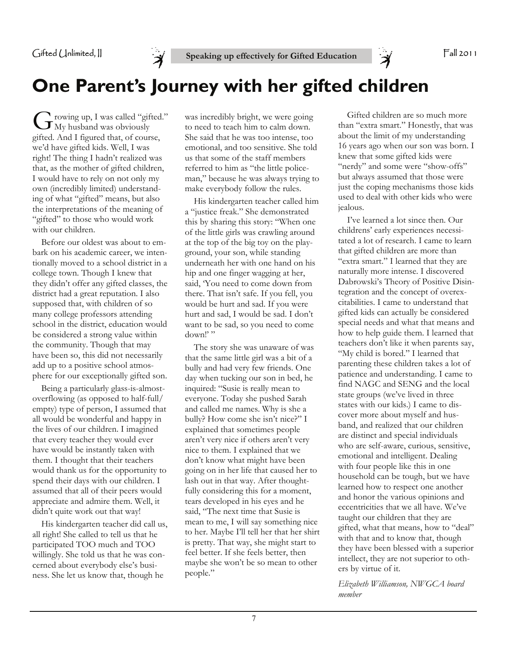

## **One Parent's Journey with her gifted children**

G rowing up, I was called "gifted."<br>My husband was obviously gifted. And I figured that, of course, we'd have gifted kids. Well, I was right! The thing I hadn't realized was that, as the mother of gifted children, I would have to rely on not only my own (incredibly limited) understanding of what "gifted" means, but also the interpretations of the meaning of "gifted" to those who would work with our children.

 Before our oldest was about to embark on his academic career, we intentionally moved to a school district in a college town. Though I knew that they didn't offer any gifted classes, the district had a great reputation. I also supposed that, with children of so many college professors attending school in the district, education would be considered a strong value within the community. Though that may have been so, this did not necessarily add up to a positive school atmosphere for our exceptionally gifted son.

 Being a particularly glass-is-almostoverflowing (as opposed to half-full/ empty) type of person, I assumed that all would be wonderful and happy in the lives of our children. I imagined that every teacher they would ever have would be instantly taken with them. I thought that their teachers would thank us for the opportunity to spend their days with our children. I assumed that all of their peers would appreciate and admire them. Well, it didn't quite work out that way!

 His kindergarten teacher did call us, all right! She called to tell us that he participated TOO much and TOO willingly. She told us that he was concerned about everybody else's business. She let us know that, though he

was incredibly bright, we were going to need to teach him to calm down. She said that he was too intense, too emotional, and too sensitive. She told us that some of the staff members referred to him as "the little policeman," because he was always trying to make everybody follow the rules.

 His kindergarten teacher called him a "justice freak." She demonstrated this by sharing this story: "When one of the little girls was crawling around at the top of the big toy on the playground, your son, while standing underneath her with one hand on his hip and one finger wagging at her, said, 'You need to come down from there. That isn't safe. If you fell, you would be hurt and sad. If you were hurt and sad, I would be sad. I don't want to be sad, so you need to come down!"

 The story she was unaware of was that the same little girl was a bit of a bully and had very few friends. One day when tucking our son in bed, he inquired: "Susie is really mean to everyone. Today she pushed Sarah and called me names. Why is she a bully? How come she isn't nice?" I explained that sometimes people aren't very nice if others aren't very nice to them. I explained that we don't know what might have been going on in her life that caused her to lash out in that way. After thoughtfully considering this for a moment, tears developed in his eyes and he said, "The next time that Susie is mean to me, I will say something nice to her. Maybe I'll tell her that her shirt is pretty. That way, she might start to feel better. If she feels better, then maybe she won't be so mean to other people."

 Gifted children are so much more than "extra smart." Honestly, that was about the limit of my understanding 16 years ago when our son was born. I knew that some gifted kids were "nerdy" and some were "show-offs" but always assumed that those were just the coping mechanisms those kids used to deal with other kids who were jealous.

 I've learned a lot since then. Our childrens' early experiences necessitated a lot of research. I came to learn that gifted children are more than "extra smart." I learned that they are naturally more intense. I discovered Dabrowski's Theory of Positive Disintegration and the concept of overexcitabilities. I came to understand that gifted kids can actually be considered special needs and what that means and how to help guide them. I learned that teachers don't like it when parents say, "My child is bored." I learned that parenting these children takes a lot of patience and understanding. I came to find NAGC and SENG and the local state groups (we've lived in three states with our kids.) I came to discover more about myself and husband, and realized that our children are distinct and special individuals who are self-aware, curious, sensitive, emotional and intelligent. Dealing with four people like this in one household can be tough, but we have learned how to respect one another and honor the various opinions and eccentricities that we all have. We've taught our children that they are gifted, what that means, how to "deal" with that and to know that, though they have been blessed with a superior intellect, they are not superior to others by virtue of it.

*Elizabeth Williamson, NWGCA board member*